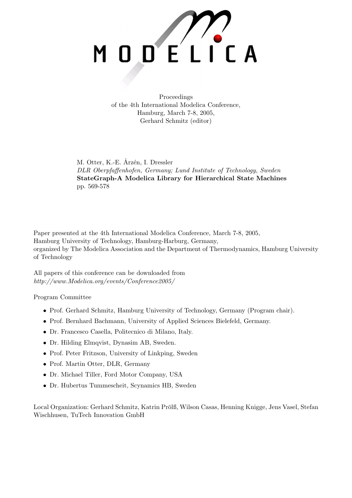

Proceedings of the 4th International Modelica Conference, Hamburg, March 7-8, 2005, Gerhard Schmitz (editor)

M. Otter, K.-E. Årzén, I. Dressler DLR Oberpfaffenhofen, Germany; Lund Institute of Technology, Sweden StateGraph-A Modelica Library for Hierarchical State Machines pp. 569-578

Paper presented at the 4th International Modelica Conference, March 7-8, 2005, Hamburg University of Technology, Hamburg-Harburg, Germany, organized by The Modelica Association and the Department of Thermodynamics, Hamburg University of Technology

All papers of this conference can be downloaded from http://www.Modelica.org/events/Conference2005/

Program Committee

- Prof. Gerhard Schmitz, Hamburg University of Technology, Germany (Program chair).
- Prof. Bernhard Bachmann, University of Applied Sciences Bielefeld, Germany.
- Dr. Francesco Casella, Politecnico di Milano, Italy.
- Dr. Hilding Elmqvist, Dynasim AB, Sweden.
- Prof. Peter Fritzson, University of Linkping, Sweden
- Prof. Martin Otter, DLR, Germany
- Dr. Michael Tiller, Ford Motor Company, USA
- Dr. Hubertus Tummescheit, Scynamics HB, Sweden

Local Organization: Gerhard Schmitz, Katrin Prölß, Wilson Casas, Henning Knigge, Jens Vasel, Stefan Wischhusen, TuTech Innovation GmbH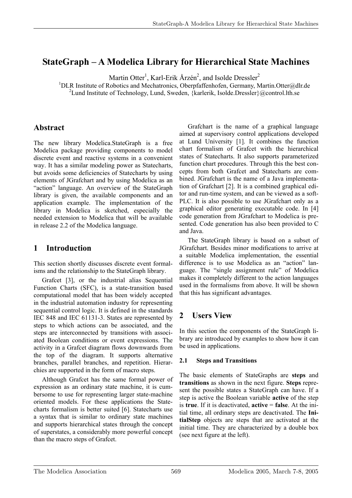# **StateGraph – A Modelica Library for Hierarchical State Machines**

Martin Otter<sup>1</sup>, Karl-Erik Årzén<sup>2</sup>, and Isolde Dressler<sup>2</sup>

<sup>1</sup>DLR Institute of Robotics and Mechatronics, Oberpfaffenhofen, Germany, Martin.Otter@dlr.de <sup>2</sup>Lund Institute of Technology, Lund, Sweden, {karlerik, Isolde.Dressler}@control.lth.se

# **Abstract**

The new library Modelica.StateGraph is a free Modelica package providing components to model discrete event and reactive systems in a convenient way. It has a similar modeling power as Statecharts, but avoids some deficiencies of Statecharts by using elements of JGrafchart and by using Modelica as an "action" language. An overview of the StateGraph library is given, the available components and an application example. The implementation of the library in Modelica is sketched, especially the needed extension to Modelica that will be available in release 2.2 of the Modelica language.

# **1 Introduction**

This section shortly discusses discrete event formalisms and the relationship to the StateGraph library.

Grafcet [3], or the industrial alias Sequential Function Charts (SFC), is a state-transition based computational model that has been widely accepted in the industrial automation industry for representing sequential control logic. It is defined in the standards IEC 848 and IEC 61131-3. States are represented by steps to which actions can be associated, and the steps are interconnected by transitions with associated Boolean conditions or event expressions. The activity in a Grafcet diagram flows downwards from the top of the diagram. It supports alternative branches, parallel branches, and repetition. Hierarchies are supported in the form of macro steps.

Although Grafcet has the same formal power of expression as an ordinary state machine, it is cumbersome to use for representing larger state-machine oriented models. For these applications the Statecharts formalism is better suited [6]. Statecharts use a syntax that is similar to ordinary state machines and supports hierarchical states through the concept of superstates, a considerably more powerful concept than the macro steps of Grafcet.

Grafchart is the name of a graphical language aimed at supervisory control applications developed at Lund University [1]. It combines the function chart formalism of Grafcet with the hierarchical states of Statecharts. It also supports parameterized function chart procedures. Through this the best concepts from both Grafcet and Statecharts are combined. JGrafchart is the name of a Java implementation of Grafchart [2]. It is a combined graphical editor and run-time system, and can be viewed as a soft-PLC. It is also possible to use JGrafchart only as a graphical editor generating executable code. In [4] code generation from JGrafchart to Modelica is presented. Code generation has also been provided to C and Java.

The StateGraph library is based on a subset of JGrafchart. Besides minor modifications to arrive at a suitable Modelica implementation, the essential difference is to use Modelica as an "action" language. The "single assignment rule" of Modelica makes it completely different to the action languages used in the formalisms from above. It will be shown that this has significant advantages.

# **2 Users View**

In this section the components of the StateGraph library are introduced by examples to show how it can be used in applications.

### **2.1 Steps and Transitions**

The basic elements of StateGraphs are **steps** and **transitions** as shown in the next figure. **Steps** represent the possible states a StateGraph can have. If a step is active the Boolean variable **active** of the step is **true**. If it is deactivated, **active** = **false**. At the initial time, all ordinary steps are deactivated. The **InitialStep** objects are steps that are activated at the initial time. They are characterized by a double box (see next figure at the left).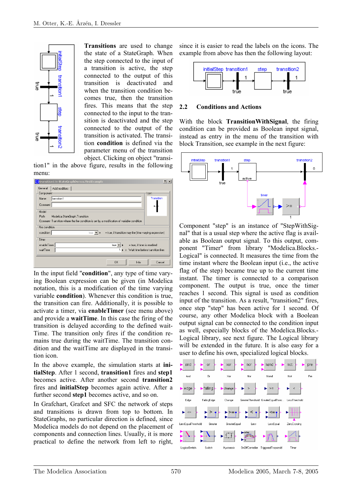

**Transitions** are used to change the state of a StateGraph. When the step connected to the input of a transition is active, the step connected to the output of this transition is deactivated and when the transition condition becomes true, then the transition fires. This means that the step connected to the input to the transition is deactivated and the step connected to the output of the transition is activated. The transition **condition** is defined via the parameter menu of the transition object. Clicking on object "transi-

tion1" in the above figure, results in the following menu:



In the input field "**condition**", any type of time varying Boolean expression can be given (in Modelica notation, this is a modification of the time varying variable **condition**). Whenever this condition is true, the transition can fire. Additionally, it is possible to activate a timer, via **enableTimer** (see menu above) and provide a **waitTime**. In this case the firing of the transition is delayed according to the defined wait-Time. The transition only fires if the condition remains true during the waitTime. The transition condition and the waitTime are displayed in the transition icon.

In the above example, the simulation starts at **initialStep**. After 1 second, **transition1** fires and **step1** becomes active. After another second **transition2** fires and **initialStep** becomes again active. After a further second **step1** becomes active, and so on.

In Grafchart, Grafcet and SFC the network of steps and transitions is drawn from top to bottom. In StateGraphs, no particular direction is defined, since Modelica models do not depend on the placement of components and connection lines. Usually, it is more practical to define the network from left to right,

since it is easier to read the labels on the icons. The example from above has then the following layout:



#### **2.2 Conditions and Actions**

With the block **TransitionWithSignal**, the firing condition can be provided as Boolean input signal, instead as entry in the menu of the transition with block Transition, see example in the next figure:



Component "step" is an instance of "StepWithSignal" that is a usual step where the active flag is available as Boolean output signal. To this output, component "Timer" from library "Modelica.Blocks.- Logical" is connected. It measures the time from the time instant where the Boolean input (i.e., the active flag of the step) became true up to the current time instant. The timer is connected to a comparison component. The output is true, once the timer reaches 1 second. This signal is used as condition input of the transition. As a result, "transition2" fires, once step "step" has been active for 1 second. Of course, any other Modelica block with a Boolean output signal can be connected to the condition input as well, especially blocks of the Modelica.Blocks.- Logical library, see next figure. The Logical library will be extended in the future. It is also easy for a user to define his own, specialized logical blocks.

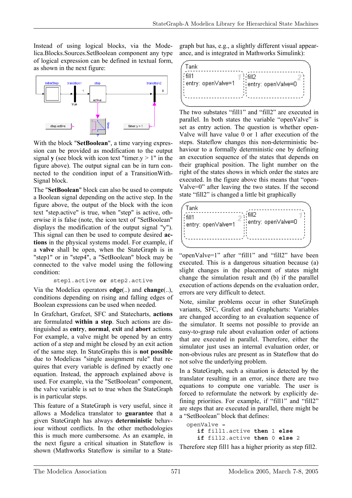Instead of using logical blocks, via the Modelica.Blocks.Sources.SetBoolean component any type of logical expression can be defined in textual form, as shown in the next figure:



With the block "**SetBoolean**", a time varying expression can be provided as modification to the output signal **y** (see block with icon text "timer.y  $> 1$ " in the figure above). The output signal can be in turn connected to the condition input of a TransitionWith-Signal block.

The "**SetBoolean**" block can also be used to compute a Boolean signal depending on the active step. In the figure above, the output of the block with the icon text "step.active" is true, when "step" is active, otherwise it is false (note, the icon text of "SetBoolean" displays the modification of the output signal "y"). This signal can then be used to compute desired **actions** in the physical systems model. For example, if a **valve** shall be open, when the StateGraph is in "step1" or in "step4", a "SetBoolean" block may be connected to the valve model using the following condition:

step1.active **or** step2.active

Via the Modelica operators **edge**(..) and **change**(..), conditions depending on rising and falling edges of Boolean expressions can be used when needed.

In Grafchart, Grafcet, SFC and Statecharts, **actions** are formulated **within a step**. Such actions are distinguished as **entry**, **normal**, **exit** and **abort** actions. For example, a valve might be opened by an entry action of a step and might be closed by an exit action of the same step. In StateGraphs this is **not possible** due to Modelicas "single assignment rule" that requires that every variable is defined by exactly one equation. Instead, the approach explained above is used. For example, via the "SetBoolean" component, the valve variable is set to true when the StateGraph is in particular steps.

This feature of a StateGraph is very useful, since it allows a Modelica translator to **guarantee** that a given StateGraph has always **deterministic** behaviour without conflicts. In the other methodologies this is much more cumbersome. As an example, in the next figure a critical situation in Stateflow is shown (Mathworks Stateflow is similar to a State-

graph but has, e.g., a slightly different visual appearance, and is integrated in Mathworks Simulink):

| Tank                            |                                               |
|---------------------------------|-----------------------------------------------|
| { fill1<br>¦¦entrγ: open∀alve=1 | $\frac{1}{2}$ fill $2$<br>entry: openValve=0} |
|                                 |                                               |

The two substates "fill1" and "fill2" are executed in parallel. In both states the variable "openValve" is set as entry action. The question is whether open-Valve will have value 0 or 1 after execution of the steps. Stateflow changes this non-deterministic behaviour to a formally deterministic one by defining an execution sequence of the states that depends on their graphical position. The light number on the right of the states shows in which order the states are executed. In the figure above this means that "open-Valve=0" after leaving the two states. If the second state "fill2" is changed a little bit graphically



"openValve=1" after "fill1" and "fill2" have been executed. This is a dangerous situation because (a) slight changes in the placement of states might change the simulation result and (b) if the parallel execution of actions depends on the evaluation order, errors are very difficult to detect.

Note, similar problems occur in other StateGraph variants, SFC, Grafcet and Graphcharts: Variables are changed according to an evaluation sequence of the simulator. It seems not possible to provide an easy-to-grasp rule about evaluation order of actions that are executed in parallel. Therefore, either the simulator just uses an internal evaluation order, or non-obvious rules are present as in Stateflow that do not solve the underlying problem.

In a StateGraph, such a situation is detected by the translator resulting in an error, since there are two equations to compute one variable. The user is forced to reformulate the network by explicitly defining priorities. For example, if "fill1" and "fill2" are steps that are executed in parallel, there might be a "SetBoolean" block that defines:

```
 openValve = 
    if fill1.active then 1 else
    if fill2.active then 0 else 2
```
Therefore step fill1 has a higher priority as step fill2.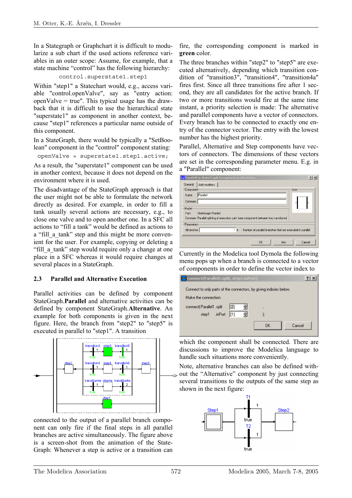In a Stategraph or Graphchart it is difficult to modularize a sub chart if the used actions reference variables in an outer scope: Assume, for example, that a state machine "control" has the following hierarchy:

#### control.superstate1.step1

Within "step1" a Statechart would, e.g., access variable "control.openValve", say as "entry action: openValve  $=$  true". This typical usage has the drawback that it is difficult to use the hierarchical state "superstate1" as component in another context, because "step1" references a particular name outside of this component.

In a StateGraph, there would be typically a "SetBoolean" component in the "control" component stating:

openValve = superstate1.step1.active;

As a result, the "superstate1" component can be used in another context, because it does not depend on the environment where it is used.

The disadvantage of the StateGraph approach is that the user might not be able to formulate the network directly as desired. For example, in order to fill a tank usually several actions are necessary, e.g., to close one valve and to open another one. In a SFC all actions to "fill a tank" would be defined as actions to a "fill a tank" step and this might be more convenient for the user. For example, copying or deleting a "fill a tank" step would require only a change at one place in a SFC whereas it would require changes at several places in a StateGraph.

#### **2.3 Parallel and Alternative Execution**

Parallel activities can be defined by component StateGraph.**Parallel** and alternative activities can be defined by component StateGraph.**Alternative**. An example for both components is given in the next figure. Here, the branch from "step2" to "step5" is executed in parallel to "step1". A transition



connected to the output of a parallel branch component can only fire if the final steps in all parallel branches are active simultaneously. The figure above is a screen-shot from the animation of the State-Graph: Whenever a step is active or a transition can

fire, the corresponding component is marked in **green** color.

The three branches within "step2" to "step5" are executed alternatively, depending which transition condition of "transition3", "transition4", "transition4a" fires first. Since all three transitions fire after 1 second, they are all candidates for the active branch. If two or more transitions would fire at the same time instant, a priority selection is made: The alternative and parallel components have a vector of connectors. Every branch has to be connected to exactly one entry of the connector vector. The entry with the lowest number has the highest priority.

Parallel, Alternative and Step components have vectors of connectors. The dimensions of these vectors are set in the corresponding parameter menu. E.g. in a "Parallel" component:

| <b>日</b> Parallel1 in StateGraph.Examples.ExecutionPaths                                  | $?$ $\times$ |
|-------------------------------------------------------------------------------------------|--------------|
| General<br>Add modifiers                                                                  |              |
| Component                                                                                 | lcon         |
| Parallel1<br><b>Name</b>                                                                  |              |
| Comment                                                                                   |              |
| Model                                                                                     |              |
| Path<br>StateGraph.Parallel                                                               |              |
| Comment Parallel splitting of execution path (use component between two transitions)      |              |
| Parameters                                                                                |              |
| $2 \rightarrow$<br>nBranches<br>Number of parallel branches that are executed in parallel |              |
|                                                                                           |              |
| <b>OK</b><br>Info                                                                         | Cancel       |

Currently in the Modelica tool Dymola the following menu pops up when a branch is connected to a vector of components in order to define the vector index to



which the component shall be connected. There are discussions to improve the Modelica language to handle such situations more conveniently.

Note, alternative branches can also be defined with- $\Box$  out the "Alternative" component by just connecting several transitions to the outputs of the same step as shown in the next figure:

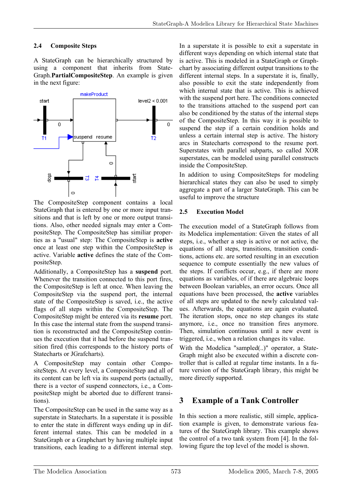### **2.4 Composite Steps**

A StateGraph can be hierarchically structured by using a component that inherits from State-Graph.**PartialCompositeStep**. An example is given in the next figure:



The CompositeStep component contains a local StateGraph that is entered by one or more input transitions and that is left by one or more output transitions. Also, other needed signals may enter a CompositeStep. The CompositeStep has similiar properties as a "usual" step: The CompositeStep is **active** once at least one step within the CompositeStep is active. Variable **active** defines the state of the CompositeStep.

Additionally, a CompositeStep has a **suspend** port. Whenever the transition connected to this port fires, the CompositeStep is left at once. When leaving the CompositeStep via the suspend port, the internal state of the CompositeStep is saved, i.e., the active flags of all steps within the CompositeStep. The CompositeStep might be entered via its **resume** port. In this case the internal state from the suspend transition is reconstructed and the CompositeStep continues the execution that it had before the suspend transition fired (this corresponds to the history ports of Statecharts or JGrafcharts).

A CompositeStep may contain other CompositeSteps. At every level, a CompositeStep and all of its content can be left via its suspend ports (actually, there is a vector of suspend connectors, i.e., a CompositeStep might be aborted due to different transitions).

The CompositeStep can be used in the same way as a superstate in Statecharts. In a superstate it is possible to enter the state in different ways ending up in different internal states. This can be modeled in a StateGraph or a Graphchart by having multiple input transitions, each leading to a different internal step.

In a superstate it is possible to exit a superstate in different ways depending on which internal state that is active. This is modeled in a StateGraph or Graphchart by associating different output transitions to the different internal steps. In a superstate it is, finally, also possible to exit the state independently from which internal state that is active. This is achieved with the suspend port here. The conditions connected to the transitions attached to the suspend port can also be conditioned by the status of the internal steps of the CompositeStep. In this way it is possible to suspend the step if a certain condition holds and unless a certain internal step is active. The history arcs in Statecharts correspond to the resume port. Superstates with parallel subparts, so called XOR superstates, can be modeled using parallel constructs inside the CompositeStep.

In addition to using CompositeSteps for modeling hierarchical states they can also be used to simply aggregate a part of a larger StateGraph. This can be useful to improve the structure

#### **2.5 Execution Model**

The execution model of a StateGraph follows from its Modelica implementation: Given the states of all steps, i.e., whether a step is active or not active, the equations of all steps, transitions, transition conditions, actions etc. are sorted resulting in an execution sequence to compute essentially the new values of the steps. If conflicts occur, e.g., if there are more equations as variables, of if there are algebraic loops between Boolean variables, an error occurs. Once all equations have been processed, the **active** variables of all steps are updated to the newly calculated values. Afterwards, the equations are again evaluated. The iteration stops, once no step changes its state anymore, i.e., once no transition fires anymore. Then, simulation continuous until a new event is triggered, i.e., when a relation changes its value.

With the Modelica "sampled(..)" operator, a State-Graph might also be executed within a discrete controller that is called at regular time instants. In a future version of the StateGraph library, this might be more directly supported.

# **3 Example of a Tank Controller**

In this section a more realistic, still simple, application example is given, to demonstrate various features of the StateGraph library. This example shows the control of a two tank system from [4]. In the following figure the top level of the model is shown.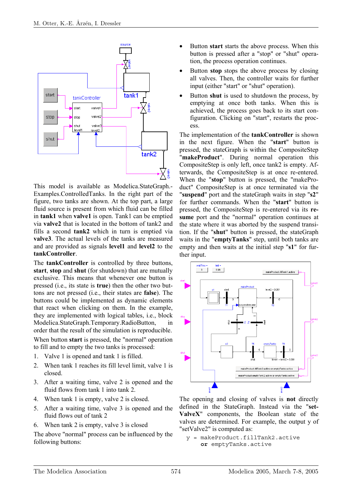

This model is available as Modelica.StateGraph.- Examples.ControlledTanks. In the right part of the figure, two tanks are shown. At the top part, a large fluid source is present from which fluid can be filled in **tank1** when **valve1** is open. Tank1 can be emptied via **valve2** that is located in the bottom of tank2 and fills a second **tank2** which in turn is emptied via **valve3**. The actual levels of the tanks are measured and are provided as signals **level1** and **level2** to the **tankController**.

The **tankController** is controlled by three buttons, **start**, **stop** and **shut** (for shutdown) that are mutually exclusive. This means that whenever one button is pressed (i.e., its state is **true**) then the other two buttons are not pressed (i.e., their states are **false**). The buttons could be implemented as dynamic elements that react when clicking on them. In the example, they are implemented with logical tables, i.e., block Modelica.StateGraph.Temporary.RadioButton, in order that the result of the simulation is reproducible.

When button **start** is pressed, the "normal" operation to fill and to empty the two tanks is processed:

- 1. Valve 1 is opened and tank 1 is filled.
- 2. When tank 1 reaches its fill level limit, valve 1 is closed.
- 3. After a waiting time, valve 2 is opened and the fluid flows from tank 1 into tank 2.
- 4. When tank 1 is empty, valve 2 is closed.
- 5. After a waiting time, valve 3 is opened and the fluid flows out of tank 2
- 6. When tank 2 is empty, valve 3 is closed

The above "normal" process can be influenced by the following buttons:

- Button **start** starts the above process. When this button is pressed after a "stop" or "shut" operation, the process operation continues.
- Button **stop** stops the above process by closing all valves. Then, the controller waits for further input (either "start" or "shut" operation).
- Button **shut** is used to shutdown the process, by emptying at once both tanks. When this is achieved, the process goes back to its start configuration. Clicking on "start", restarts the process.

The implementation of the **tankController** is shown in the next figure. When the "**start**" button is pressed, the stateGraph is within the CompositeStep "**makeProduct**". During normal operation this CompositeStep is only left, once tank2 is empty. Afterwards, the CompositeStep is at once re-entered. When the "**stop**" button is pressed, the "makeProduct" CompositeStep is at once terminated via the "**suspend**" port and the stateGraph waits in step "**s2**" for further commands. When the "**start**" button is pressed, the CompositeStep is re-entered via its **resume** port and the "normal" operation continues at the state where it was aborted by the suspend transition. If the "**shut**" button is pressed, the stateGraph waits in the "**emptyTanks**" step, until both tanks are empty and then waits at the initial step "**s1**" for further input.



The opening and closing of valves is **not** directly defined in the StateGraph. Instead via the "**set-ValveX**" components, the Boolean state of the valves are determined. For example, the output y of "setValve2" is computed as:

y = makeProduct.fillTank2.active **or** emptyTanks.active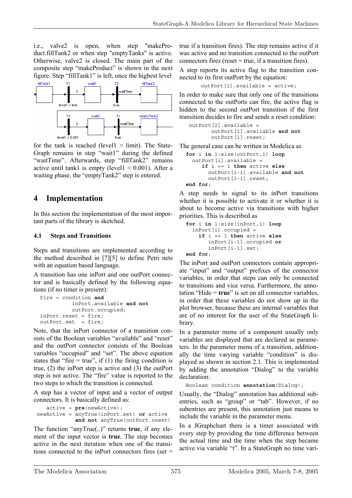i.e., valve2 is open, when step "makeProduct.fillTank2 or when step "emptyTanks" is active. Otherwise, valve2 is closed. The main part of the composite step "makeProduct" is shown in the next figure. Step "fillTank1" is left, once the highest level



for the tank is reached (level1  $>$  limit). The State-Graph remains in step "wait1" during the defined "waitTime". Afterwards, step "fillTank2" remains active until tank1 is empty (level  $1 < 0.001$ ). After a waiting phase, the "emptyTank2" step is entered.

# **4 Implementation**

In this section the implementation of the most important parts of the library is sketched.

### **4.1 Steps and Transitions**

Steps and transitions are implemented according to the method described in [7][5] to define Petri nets with an equation based language.

A transition has one inPort and one outPort connector and is basically defined by the following equations (if no timer is present):

```
 fire = condition and 
           inPort.available and not
           outPort.occupied; 
 inPort.reset = fire; 
outPort.set = fire;
```
Note, that the inPort connector of a transition consists of the Boolean variables "available" and "reset" and the outPort connector consists of the Boolean variables "occupied" and "set". The above equation states that "fire  $=$  true", if (1) the firing condition is true, (2) the inPort step is active and (3) the outPort step is not active. The "fire" value is reported to the two steps to which the transition is connected.

A step has a vector of input and a vector of output connectors. It is basically defined as:

```
 active = pre(newActive); 
 newActive = anyTrue(inPort.set) or active 
              and not anyTrue(outPort.reset)
```
The function "anyTrue(..)" returns **true**, if any element of the input vector is **true**. The step becomes active in the next iteration when one of the transitions connected to the inPort connectors fires (set  $=$  true if a transition fires). The step remains active if it was active and no transition connected to the outPort connectors fires (reset  $=$  true, if a transition fires).

A step reports its active flag to the transition connected to its first outPort by the equation:

outPort[1].available = active;

In order to make sure that only one of the transitions connected to the outPorts can fire, the active flag is hidden to the second outPort transition if the first transition decides to fire and sends a reset condition:

```
 outPort[2].available = 
        outPort[1].available and not 
        outPort[1].reset;
```
The general case can be written in Modelica as

```
 for i in 1:size(outPort,1) loop
   outPort[i].available = 
      if i == 1 then active else 
        outPort[i-1].available and not 
        outPort[i-1].reset; 
 end for;
```
A step needs to signal to its inPort transitions whether it is possible to activate it or whether it is about to become active via transitions with higher priorities. This is described as

```
 for i in 1:size(inPort,1) loop
   inPort[i].occupied = 
     if i == 1 then active else 
        inPort[i-1].occupied or
        inPort[i-1].set; 
 end for;
```
The inPort and outPort connectors contain appropriate "input" and "output" prefixes of the connector variables, in order that steps can only be connected to transitions and vice versa. Furthermore, the annotation "Hide = **true**" is set on all connector variables, in order that these variables do not show up in the plot browser, because these are internal variables that are of no interest for the user of the StateGraph library.

In a parameter menu of a component usually only variables are displayed that are declared as parameters. In the parameter menu of a transition, additionally the time varying variable "condition" is displayed as shown in section 2.1. This is implemented by adding the annotation "Dialog" to the variable declaration:

```
 Boolean condition annotation(Dialog);
```
Usually, the "Dialog" annotation has additional subentries, such as "group" or "tab". However, if no subentries are present, this annotation just means to include the variable in the parameter menu.

In a JGraphchart there is a timer associated with every step by providing the time difference between the actual time and the time when the step became active via variable "t". In a StateGraph no time vari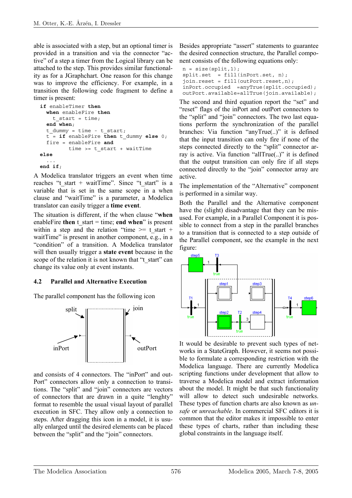able is associated with a step, but an optional timer is provided in a transition and via the connector "active" of a step a timer from the Logical library can be attached to the step. This provides similar functionality as for a JGraphchart. One reason for this change was to improve the efficiency. For example, in a transition the following code fragment to define a timer is present:

```
 if enableTimer then
   when enableFire then
    t start = time;
   end when; 
  t dummy = time - t start;
  t = if enableFire then t dummy else 0;
   fire = enableFire and 
          time >= t_start + waitTime 
else 
 ... 
end if;
```
A Modelica translator triggers an event when time reaches "t\_start + waitTime". Since "t\_start" is a variable that is set in the same scope in a when clause and "waitTime" is a parameter, a Modelica translator can easily trigger a **time event**.

The situation is different, if the when clause "**when** enableFire **then**  $t$  start = time; **end when**" is present within a step and the relation "time  $\ge$  t start + waitTime" is present in another component, e.g., in a "condition" of a transition. A Modelica translator will then usually trigger a **state event** because in the scope of the relation it is not known that "t\_start" can change its value only at event instants.

### **4.2 Parallel and Alternative Execution**

The parallel component has the following icon



and consists of 4 connectors. The "inPort" and out-Port" connectors allow only a connection to transitions. The "split" and "join" connectors are vectors of connectors that are drawn in a quite "lenghty" format to resemble the usual visual layout of parallel execution in SFC. They allow only a connection to steps. After dragging this icon in a model, it is usually enlarged until the desired elements can be placed between the "split" and the "join" connectors.

Besides appropriate "assert" statements to guarantee the desired connection structure, the Parallel component consists of the following equations only:

```
n = size(split, 1);
split.set = fill(inPort.set, n); join.reset = fill(outPort.reset,n); 
 inPort.occupied =anyTrue(split.occupied); 
 outPort.available=allTrue(join.available);
```
The second and third equation report the "set" and "reset" flags of the inPort and outPort connectors to the "split" and "join" connectors. The two last equations perform the synchronization of the parallel branches: Via function "anyTrue(..)" it is defined that the input transition can only fire if none of the steps connected directly to the "split" connector array is active. Via function "allTrue(..)" it is defined that the output transition can only fire if all steps connected directly to the "join" connector array are active.

The implementation of the "Alternative" component is performed in a similar way.

Both the Parallel and the Alternative component have the (slight) disadvantage that they can be misused. For example, in a Parallel Component it is possible to connect from a step in the parallel branches to a transition that is connected to a step outside of the Parallel component, see the example in the next figure:



It would be desirable to prevent such types of networks in a StateGraph. However, it seems not possible to formulate a corresponding restriction with the Modelica language. There are currently Modelica scripting functions under development that allow to traverse a Modelica model and extract information about the model. It might be that such functionality will allow to detect such undesirable networks. These types of function charts are also known as *unsafe* or *unreachable*. In commercial SFC editors it is common that the editor makes it impossible to enter these types of charts, rather than including these global constraints in the language itself.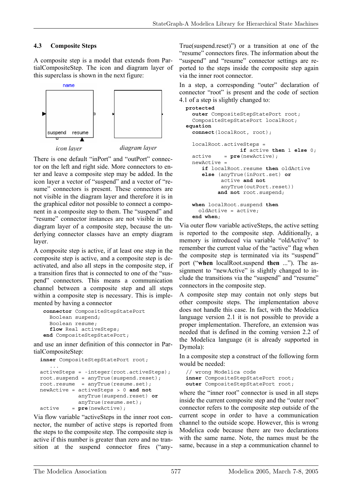### **4.3 Composite Steps**

A composite step is a model that extends from PartialCompositeStep. The icon and diagram layer of this superclass is shown in the next figure:



*icon layer diagram layer* 

There is one default "inPort" and "outPort" connector on the left and right side. More connectors to enter and leave a composite step may be added. In the icon layer a vector of "suspend" and a vector of "resume" connectors is present. These connectors are not visible in the diagram layer and therefore it is in the graphical editor not possible to connect a component in a composite step to them. The "suspend" and "resume" connector instances are not visible in the diagram layer of a composite step, because the underlying connector classes have an empty diagram layer.

A composite step is active, if at least one step in the composite step is active, and a composite step is deactivated, and also all steps in the composite step, if a transition fires that is connected to one of the "suspend" connectors. This means a communication channel between a composite step and all steps within a composite step is necessary. This is implemented by having a connector

```
 connector CompositeStepStatePort 
   Boolean suspend; 
   Boolean resume; 
   flow Real activeSteps; 
 end CompositeStepStatePort;
```
and use an inner definition of this connector in PartialCompositeStep:

```
 inner CompositeStepStatePort root; 
    ... 
 activeSteps = -integer(root.activeSteps); 
root \text{.supend} = anyTrue \text{.supend} \text{.} \text{.} root.resume = anyTrue(resume.set); 
 newActive = activeSteps > 0 and not 
              anyTrue(suspend.reset) or
              anyTrue(resume.set); 
 active = pre(newActive);
```
Via flow variable "activeSteps in the inner root connector, the number of active steps is reported from the steps to the composite step. The composite step is active if this number is greater than zero and no transition at the suspend connector fires ("any-

True(suspend.reset)") or a transition at one of the "resume" connectors fires. The information about the "suspend" and "resume" connector settings are reported to the steps inside the composite step again via the inner root connector.

In a step, a corresponding "outer" declaration of connector "root" is present and the code of section 4.1 of a step is slightly changed to:

```
 protected 
   outer CompositeStepStatePort root; 
   CompositeStepStatePort localRoot; 
 equation 
   connect(localRoot, root); 
   localRoot.activeSteps = 
                    if active then 1 else 0; 
   active = pre(newActive); 
   newActive = 
      if localRoot.resume then oldActive 
      else (anyTrue(inPort.set) or 
             active and not 
             anyTrue(outPort.reset)) 
            and not root.suspend; 
   when localRoot.suspend then
     oldActive = active; 
   end when;
```
Via outer flow variable activeSteps, the active setting is reported to the composite step. Additionally, a memory is introduced via variable "oldActive" to remember the current value of the "active" flag when the composite step is terminated via its "suspend" port ("**when** localRoot.suspend **then** ..."). The assignment to "newActive" is slightly changed to include the transitions via the "suspend" and "resume" connectors in the composite step.

A composite step may contain not only steps but other composite steps. The implementation above does not handle this case. In fact, with the Modelica language version 2.1 it is not possible to provide a proper implementation. Therefore, an extension was needed that is defined in the coming version 2.2 of the Modelica language (it is already supported in Dymola):

In a composite step a construct of the following form would be needed:

```
 // wrong Modelica code 
 inner CompositeStepStatePort root; 
 outer CompositeStepStatePort root;
```
where the "inner root" connector is used in all steps inside the current composite step and the "outer root" connector refers to the composite step outside of the current scope in order to have a communication channel to the outside scope. However, this is wrong Modelica code because there are two declarations with the same name. Note, the names must be the same, because in a step a communication channel to